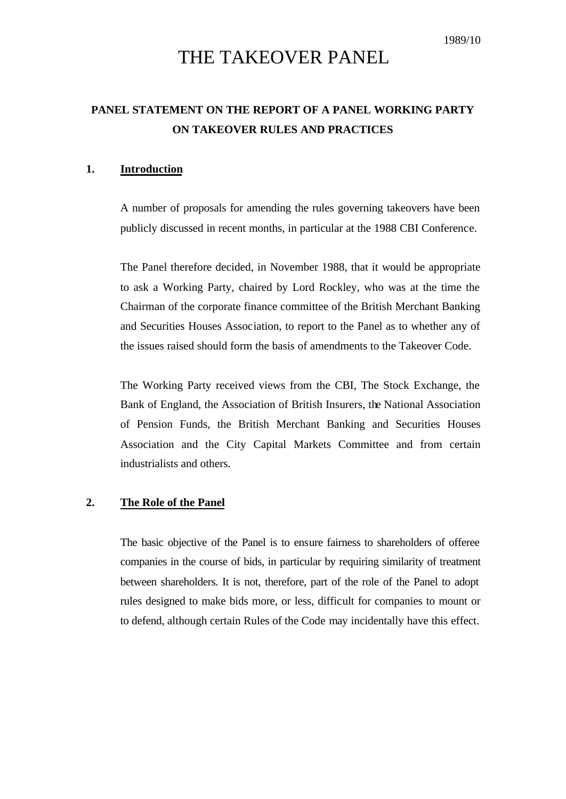# THE TAKEOVER PANEL

# **PANEL STATEMENT ON THE REPORT OF A PANEL WORKING PARTY ON TAKEOVER RULES AND PRACTICES**

#### **1. Introduction**

A number of proposals for amending the rules governing takeovers have been publicly discussed in recent months, in particular at the 1988 CBI Conference.

The Panel therefore decided, in November 1988, that it would be appropriate to ask a Working Party, chaired by Lord Rockley, who was at the time the Chairman of the corporate finance committee of the British Merchant Banking and Securities Houses Association, to report to the Panel as to whether any of the issues raised should form the basis of amendments to the Takeover Code.

The Working Party received views from the CBI, The Stock Exchange, the Bank of England, the Association of British Insurers, the National Association of Pension Funds, the British Merchant Banking and Securities Houses Association and the City Capital Markets Committee and from certain industrialists and others.

#### **2. The Role of the Panel**

The basic objective of the Panel is to ensure fairness to shareholders of offeree companies in the course of bids, in particular by requiring similarity of treatment between shareholders. It is not, therefore, part of the role of the Panel to adopt rules designed to make bids more, or less, difficult for companies to mount or to defend, although certain Rules of the Code may incidentally have this effect.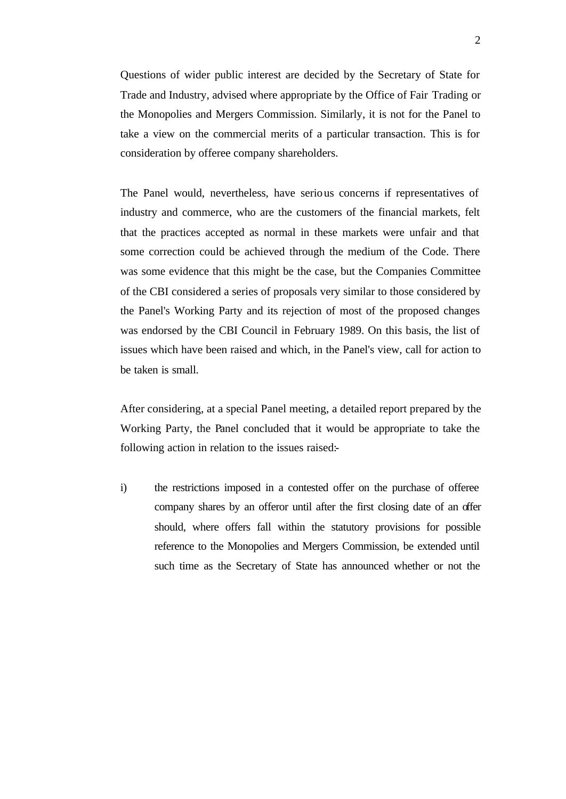Questions of wider public interest are decided by the Secretary of State for Trade and Industry, advised where appropriate by the Office of Fair Trading or the Monopolies and Mergers Commission. Similarly, it is not for the Panel to take a view on the commercial merits of a particular transaction. This is for consideration by offeree company shareholders.

The Panel would, nevertheless, have serious concerns if representatives of industry and commerce, who are the customers of the financial markets, felt that the practices accepted as normal in these markets were unfair and that some correction could be achieved through the medium of the Code. There was some evidence that this might be the case, but the Companies Committee of the CBI considered a series of proposals very similar to those considered by the Panel's Working Party and its rejection of most of the proposed changes was endorsed by the CBI Council in February 1989. On this basis, the list of issues which have been raised and which, in the Panel's view, call for action to be taken is small.

After considering, at a special Panel meeting, a detailed report prepared by the Working Party, the Panel concluded that it would be appropriate to take the following action in relation to the issues raised:-

i) the restrictions imposed in a contested offer on the purchase of offeree company shares by an offeror until after the first closing date of an offer should, where offers fall within the statutory provisions for possible reference to the Monopolies and Mergers Commission, be extended until such time as the Secretary of State has announced whether or not the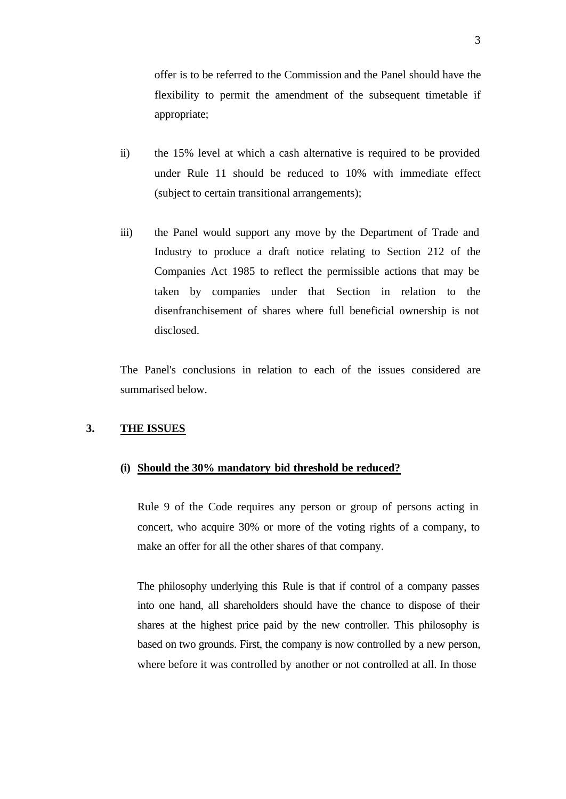offer is to be referred to the Commission and the Panel should have the flexibility to permit the amendment of the subsequent timetable if appropriate;

- ii) the 15% level at which a cash alternative is required to be provided under Rule 11 should be reduced to 10% with immediate effect (subject to certain transitional arrangements);
- iii) the Panel would support any move by the Department of Trade and Industry to produce a draft notice relating to Section 212 of the Companies Act 1985 to reflect the permissible actions that may be taken by companies under that Section in relation to the disenfranchisement of shares where full beneficial ownership is not disclosed.

The Panel's conclusions in relation to each of the issues considered are summarised below.

#### **3. THE ISSUES**

#### **(i) Should the 30% mandatory bid threshold be reduced?**

Rule 9 of the Code requires any person or group of persons acting in concert, who acquire 30% or more of the voting rights of a company, to make an offer for all the other shares of that company.

The philosophy underlying this Rule is that if control of a company passes into one hand, all shareholders should have the chance to dispose of their shares at the highest price paid by the new controller. This philosophy is based on two grounds. First, the company is now controlled by a new person, where before it was controlled by another or not controlled at all. In those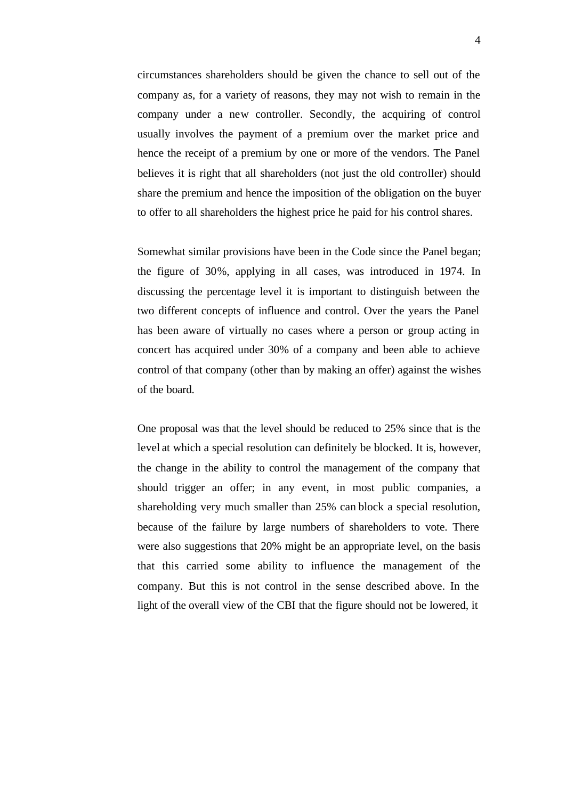circumstances shareholders should be given the chance to sell out of the company as, for a variety of reasons, they may not wish to remain in the company under a new controller. Secondly, the acquiring of control usually involves the payment of a premium over the market price and hence the receipt of a premium by one or more of the vendors. The Panel believes it is right that all shareholders (not just the old controller) should share the premium and hence the imposition of the obligation on the buyer to offer to all shareholders the highest price he paid for his control shares.

Somewhat similar provisions have been in the Code since the Panel began; the figure of 30%, applying in all cases, was introduced in 1974. In discussing the percentage level it is important to distinguish between the two different concepts of influence and control. Over the years the Panel has been aware of virtually no cases where a person or group acting in concert has acquired under 30% of a company and been able to achieve control of that company (other than by making an offer) against the wishes of the board.

One proposal was that the level should be reduced to 25% since that is the level at which a special resolution can definitely be blocked. It is, however, the change in the ability to control the management of the company that should trigger an offer; in any event, in most public companies, a shareholding very much smaller than 25% can block a special resolution, because of the failure by large numbers of shareholders to vote. There were also suggestions that 20% might be an appropriate level, on the basis that this carried some ability to influence the management of the company. But this is not control in the sense described above. In the light of the overall view of the CBI that the figure should not be lowered, it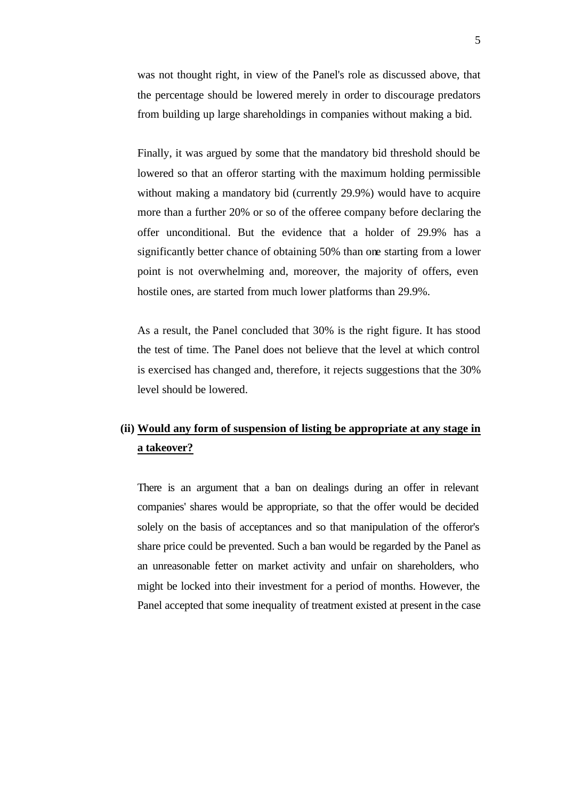was not thought right, in view of the Panel's role as discussed above, that the percentage should be lowered merely in order to discourage predators from building up large shareholdings in companies without making a bid.

Finally, it was argued by some that the mandatory bid threshold should be lowered so that an offeror starting with the maximum holding permissible without making a mandatory bid (currently 29.9%) would have to acquire more than a further 20% or so of the offeree company before declaring the offer unconditional. But the evidence that a holder of 29.9% has a significantly better chance of obtaining 50% than one starting from a lower point is not overwhelming and, moreover, the majority of offers, even hostile ones, are started from much lower platforms than 29.9%.

As a result, the Panel concluded that 30% is the right figure. It has stood the test of time. The Panel does not believe that the level at which control is exercised has changed and, therefore, it rejects suggestions that the 30% level should be lowered.

## **(ii) Would any form of suspension of listing be appropriate at any stage in a takeover?**

There is an argument that a ban on dealings during an offer in relevant companies' shares would be appropriate, so that the offer would be decided solely on the basis of acceptances and so that manipulation of the offeror's share price could be prevented. Such a ban would be regarded by the Panel as an unreasonable fetter on market activity and unfair on shareholders, who might be locked into their investment for a period of months. However, the Panel accepted that some inequality of treatment existed at present in the case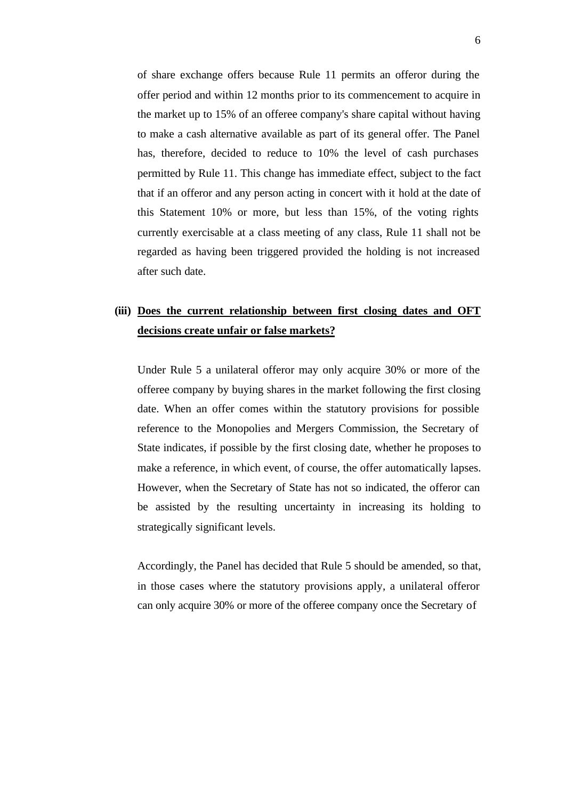of share exchange offers because Rule 11 permits an offeror during the offer period and within 12 months prior to its commencement to acquire in the market up to 15% of an offeree company's share capital without having to make a cash alternative available as part of its general offer. The Panel has, therefore, decided to reduce to 10% the level of cash purchases permitted by Rule 11. This change has immediate effect, subject to the fact that if an offeror and any person acting in concert with it hold at the date of this Statement 10% or more, but less than 15%, of the voting rights currently exercisable at a class meeting of any class, Rule 11 shall not be regarded as having been triggered provided the holding is not increased after such date.

#### **(iii) Does the current relationship between first closing dates and OFT decisions create unfair or false markets?**

Under Rule 5 a unilateral offeror may only acquire 30% or more of the offeree company by buying shares in the market following the first closing date. When an offer comes within the statutory provisions for possible reference to the Monopolies and Mergers Commission, the Secretary of State indicates, if possible by the first closing date, whether he proposes to make a reference, in which event, of course, the offer automatically lapses. However, when the Secretary of State has not so indicated, the offeror can be assisted by the resulting uncertainty in increasing its holding to strategically significant levels.

Accordingly, the Panel has decided that Rule 5 should be amended, so that, in those cases where the statutory provisions apply, a unilateral offeror can only acquire 30% or more of the offeree company once the Secretary of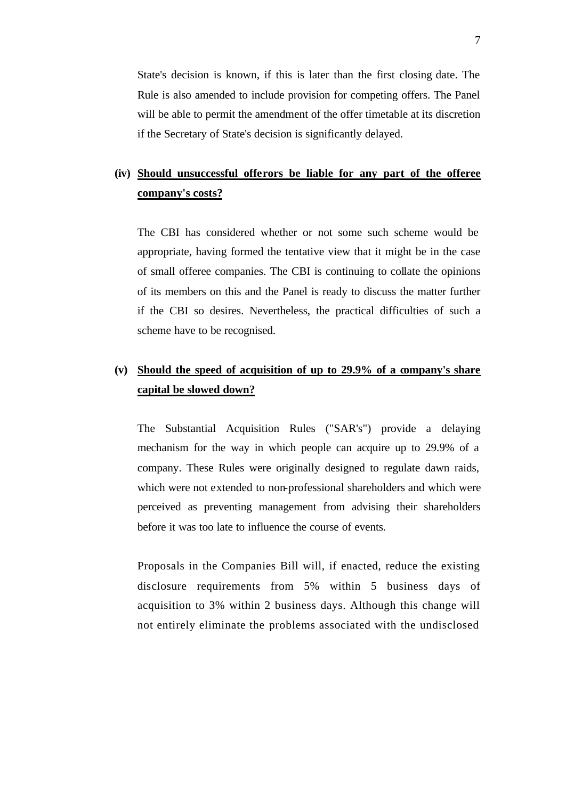State's decision is known, if this is later than the first closing date. The Rule is also amended to include provision for competing offers. The Panel will be able to permit the amendment of the offer timetable at its discretion if the Secretary of State's decision is significantly delayed.

# **(iv) Should unsuccessful offerors be liable for any part of the offeree company's costs?**

The CBI has considered whether or not some such scheme would be appropriate, having formed the tentative view that it might be in the case of small offeree companies. The CBI is continuing to collate the opinions of its members on this and the Panel is ready to discuss the matter further if the CBI so desires. Nevertheless, the practical difficulties of such a scheme have to be recognised.

# **(v) Should the speed of acquisition of up to 29.9% of a company's share capital be slowed down?**

The Substantial Acquisition Rules ("SAR's") provide a delaying mechanism for the way in which people can acquire up to 29.9% of a company. These Rules were originally designed to regulate dawn raids, which were not extended to non-professional shareholders and which were perceived as preventing management from advising their shareholders before it was too late to influence the course of events.

Proposals in the Companies Bill will, if enacted, reduce the existing disclosure requirements from 5% within 5 business days of acquisition to 3% within 2 business days. Although this change will not entirely eliminate the problems associated with the undisclosed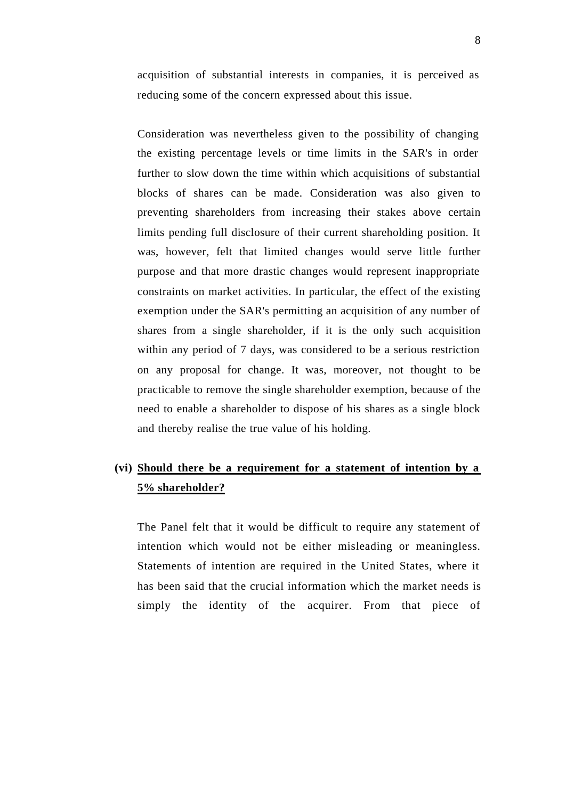acquisition of substantial interests in companies, it is perceived as reducing some of the concern expressed about this issue.

Consideration was nevertheless given to the possibility of changing the existing percentage levels or time limits in the SAR's in order further to slow down the time within which acquisitions of substantial blocks of shares can be made. Consideration was also given to preventing shareholders from increasing their stakes above certain limits pending full disclosure of their current shareholding position. It was, however, felt that limited changes would serve little further purpose and that more drastic changes would represent inappropriate constraints on market activities. In particular, the effect of the existing exemption under the SAR's permitting an acquisition of any number of shares from a single shareholder, if it is the only such acquisition within any period of 7 days, was considered to be a serious restriction on any proposal for change. It was, moreover, not thought to be practicable to remove the single shareholder exemption, because of the need to enable a shareholder to dispose of his shares as a single block and thereby realise the true value of his holding.

#### **(vi) Should there be a requirement for a statement of intention by a 5% shareholder?**

The Panel felt that it would be difficult to require any statement of intention which would not be either misleading or meaningless. Statements of intention are required in the United States, where it has been said that the crucial information which the market needs is simply the identity of the acquirer. From that piece of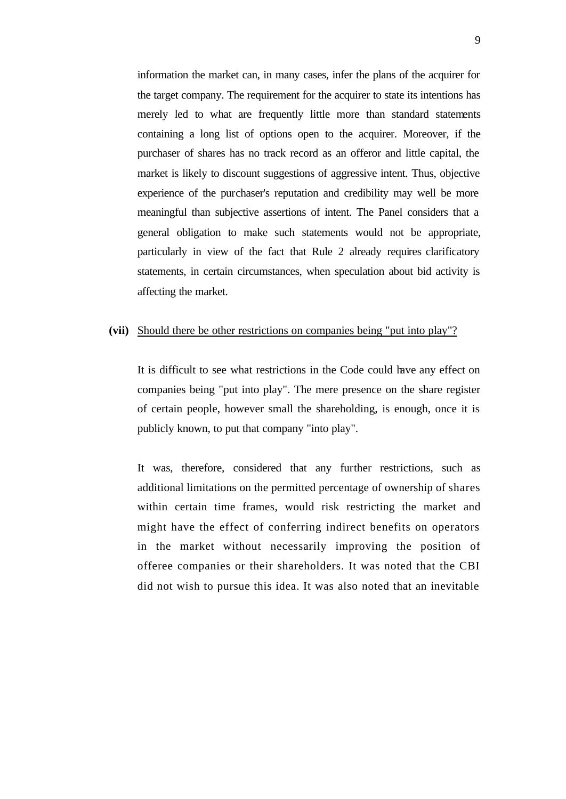information the market can, in many cases, infer the plans of the acquirer for the target company. The requirement for the acquirer to state its intentions has merely led to what are frequently little more than standard statements containing a long list of options open to the acquirer. Moreover, if the purchaser of shares has no track record as an offeror and little capital, the market is likely to discount suggestions of aggressive intent. Thus, objective experience of the purchaser's reputation and credibility may well be more meaningful than subjective assertions of intent. The Panel considers that a general obligation to make such statements would not be appropriate, particularly in view of the fact that Rule 2 already requires clarificatory statements, in certain circumstances, when speculation about bid activity is affecting the market.

#### **(vii)** Should there be other restrictions on companies being "put into play"?

It is difficult to see what restrictions in the Code could have any effect on companies being "put into play". The mere presence on the share register of certain people, however small the shareholding, is enough, once it is publicly known, to put that company "into play".

It was, therefore, considered that any further restrictions, such as additional limitations on the permitted percentage of ownership of shares within certain time frames, would risk restricting the market and might have the effect of conferring indirect benefits on operators in the market without necessarily improving the position of offeree companies or their shareholders. It was noted that the CBI did not wish to pursue this idea. It was also noted that an inevitable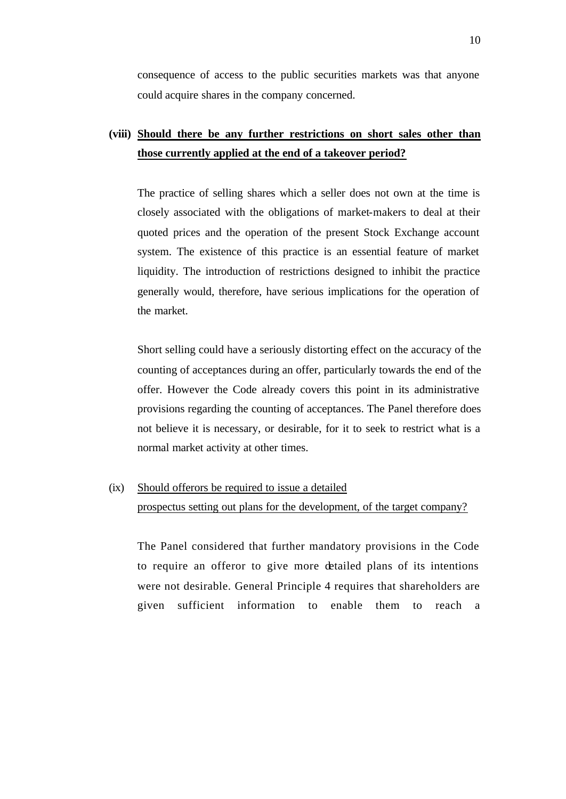consequence of access to the public securities markets was that anyone could acquire shares in the company concerned.

### **(viii) Should there be any further restrictions on short sales other than those currently applied at the end of a takeover period?**

The practice of selling shares which a seller does not own at the time is closely associated with the obligations of market-makers to deal at their quoted prices and the operation of the present Stock Exchange account system. The existence of this practice is an essential feature of market liquidity. The introduction of restrictions designed to inhibit the practice generally would, therefore, have serious implications for the operation of the market.

Short selling could have a seriously distorting effect on the accuracy of the counting of acceptances during an offer, particularly towards the end of the offer. However the Code already covers this point in its administrative provisions regarding the counting of acceptances. The Panel therefore does not believe it is necessary, or desirable, for it to seek to restrict what is a normal market activity at other times.

# (ix) Should offerors be required to issue a detailed prospectus setting out plans for the development, of the target company?

The Panel considered that further mandatory provisions in the Code to require an offeror to give more detailed plans of its intentions were not desirable. General Principle 4 requires that shareholders are given sufficient information to enable them to reach a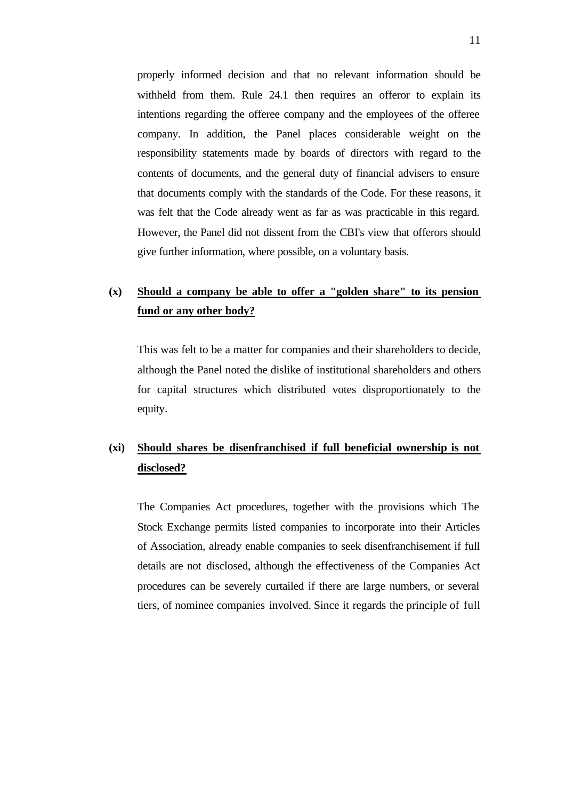properly informed decision and that no relevant information should be withheld from them. Rule 24.1 then requires an offeror to explain its intentions regarding the offeree company and the employees of the offeree company. In addition, the Panel places considerable weight on the responsibility statements made by boards of directors with regard to the contents of documents, and the general duty of financial advisers to ensure that documents comply with the standards of the Code. For these reasons, it was felt that the Code already went as far as was practicable in this regard. However, the Panel did not dissent from the CBI's view that offerors should give further information, where possible, on a voluntary basis.

#### **(x) Should a company be able to offer a "golden share" to its pension fund or any other body?**

This was felt to be a matter for companies and their shareholders to decide, although the Panel noted the dislike of institutional shareholders and others for capital structures which distributed votes disproportionately to the equity.

### **(xi) Should shares be disenfranchised if full beneficial ownership is not disclosed?**

The Companies Act procedures, together with the provisions which The Stock Exchange permits listed companies to incorporate into their Articles of Association, already enable companies to seek disenfranchisement if full details are not disclosed, although the effectiveness of the Companies Act procedures can be severely curtailed if there are large numbers, or several tiers, of nominee companies involved. Since it regards the principle of full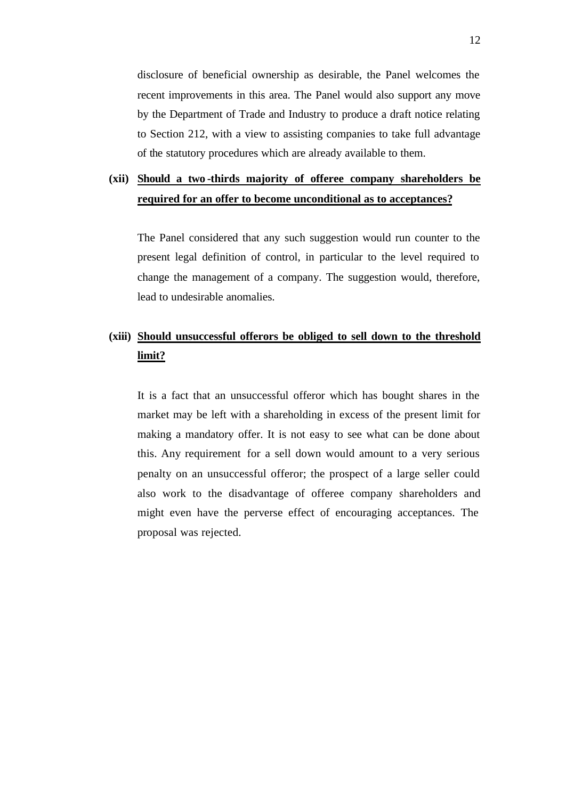disclosure of beneficial ownership as desirable, the Panel welcomes the recent improvements in this area. The Panel would also support any move by the Department of Trade and Industry to produce a draft notice relating to Section 212, with a view to assisting companies to take full advantage of the statutory procedures which are already available to them.

### **(xii) Should a two -thirds majority of offeree company shareholders be required for an offer to become unconditional as to acceptances?**

The Panel considered that any such suggestion would run counter to the present legal definition of control, in particular to the level required to change the management of a company. The suggestion would, therefore, lead to undesirable anomalies.

#### **(xiii) Should unsuccessful offerors be obliged to sell down to the threshold limit?**

It is a fact that an unsuccessful offeror which has bought shares in the market may be left with a shareholding in excess of the present limit for making a mandatory offer. It is not easy to see what can be done about this. Any requirement for a sell down would amount to a very serious penalty on an unsuccessful offeror; the prospect of a large seller could also work to the disadvantage of offeree company shareholders and might even have the perverse effect of encouraging acceptances. The proposal was rejected.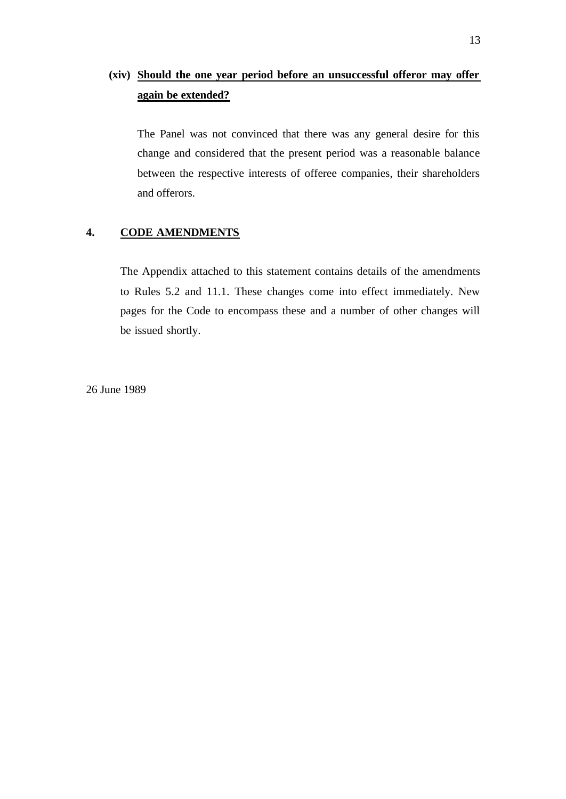# **(xiv) Should the one year period before an unsuccessful offeror may offer again be extended?**

The Panel was not convinced that there was any general desire for this change and considered that the present period was a reasonable balance between the respective interests of offeree companies, their shareholders and offerors.

#### **4. CODE AMENDMENTS**

The Appendix attached to this statement contains details of the amendments to Rules 5.2 and 11.1. These changes come into effect immediately. New pages for the Code to encompass these and a number of other changes will be issued shortly.

26 June 1989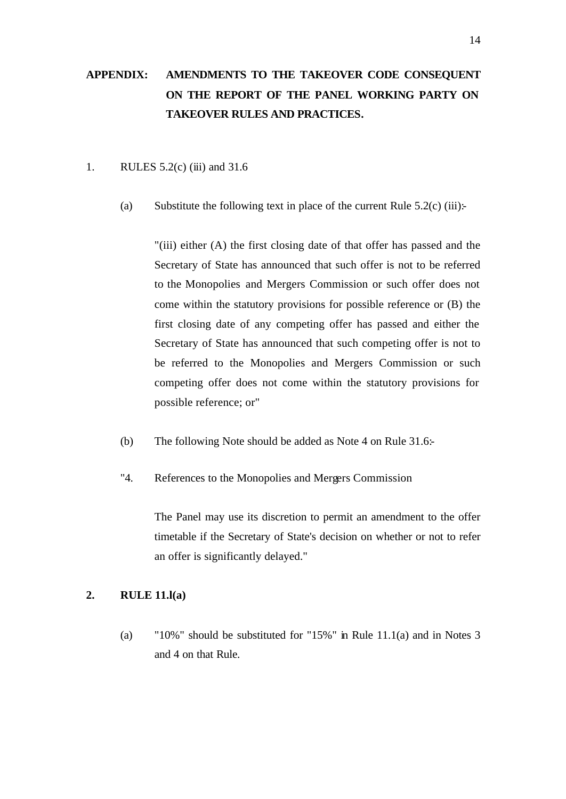# **APPENDIX: AMENDMENTS TO THE TAKEOVER CODE CONSEQUENT ON THE REPORT OF THE PANEL WORKING PARTY ON TAKEOVER RULES AND PRACTICES.**

#### 1. RULES 5.2(c) (iii) and 31.6

(a) Substitute the following text in place of the current Rule  $5.2(c)$  (iii):

"(iii) either (A) the first closing date of that offer has passed and the Secretary of State has announced that such offer is not to be referred to the Monopolies and Mergers Commission or such offer does not come within the statutory provisions for possible reference or (B) the first closing date of any competing offer has passed and either the Secretary of State has announced that such competing offer is not to be referred to the Monopolies and Mergers Commission or such competing offer does not come within the statutory provisions for possible reference; or"

- (b) The following Note should be added as Note 4 on Rule 31.6:-
- "4. References to the Monopolies and Mergers Commission

The Panel may use its discretion to permit an amendment to the offer timetable if the Secretary of State's decision on whether or not to refer an offer is significantly delayed."

#### **2. RULE 11.l(a)**

(a) "10%" should be substituted for "15%" in Rule 11.1(a) and in Notes 3 and 4 on that Rule.